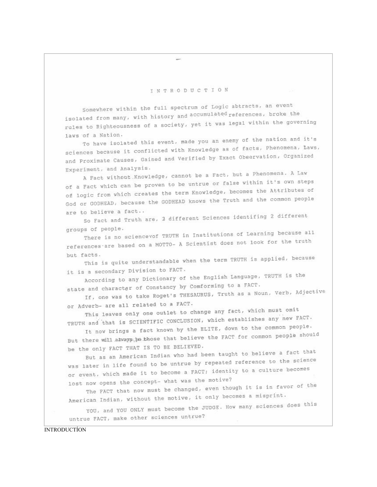## INTRODUCTION

Somewhere within the full spectrum of Logic abtracts, an event isolated from many, with history and accumulated references, broke the rules to Righteousness of a society, yet it was legal within the governing laws of a Nation.

To have isolated this event, made you an enemy of the nation and it's sciences because it conflicted with Knowledge as of facts, Phenomena, Laws, and Proximate Causes, Gained and Verified by Exact Observation, Organized Experiment, and Analysis.

A Fact without Knowledge, cannot be a Fact, but a Phenomena. A Law of a Fact which can be proven to be untrue or false within it's own steps of logic from which creates the term Knowledge, becomes the Attributes of God or GODHEAD, because the GODHEAD knows the Truth and the common people are to believe a fact..

So Fact and Truth are, 2 different Sciences identifing 2 different groups of people.

There is no sciencevof TRUTH in Institutions of Learning because all references are based on a MOTTO- A Scientist does not look for the truth but facts.

This is quite understandable when the term TRUTH is applied, because it is a secondary Division to FACT.

According to any Dictionary of the English Language, TRUTH is the state and character of Constancy by Comforming to a FACT.

If, one was to take Roget's THESAURUS, Truth as a Noun, Verb, Adjective or Adverb- are all related to a FACT.

This leaves only one outlet to change any fact, which must omit TRUTH and that is SCIENTIFIC CONCLUSION, which establishes any new FACT.

It now brings a fact known by the ELITE, down to the common people. But there will always, to those that believe the FACT for common people should be the only FACT THAT IS TO BE BELIEVED.

But as an American Indian who had been taught to believe a fact that was later in life found to be untrue by repeated reference to the science or event, which made it to become a FACT; identity to a culture becomes lost now opens the concept- what was the motive?

The FACT that now must be changed, even though it is in favor of the American Indian, without the motive, it only becomes a misprint.

YOU, and YOU ONLY must become the JUDGE. How many sciences does this untrue FACT, make other sciences untrue?

**INTRODUCTÍON**